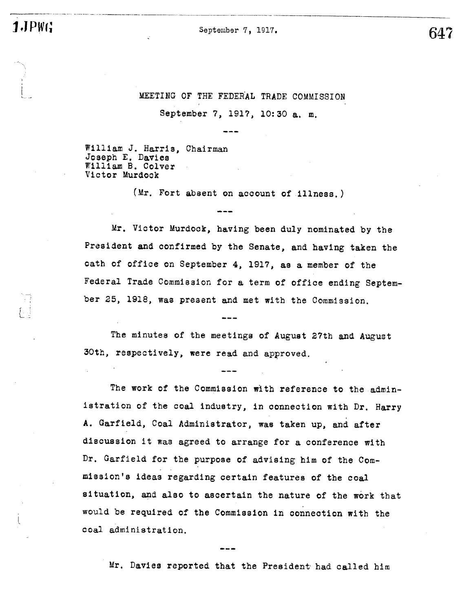1.JPWG

 $\sqcup$  :

 $\overline{\phantom{a}}$ 

September 7, 1917.

647

# MEETING OF THE FEDERAL TRADE COMMISSION

September 7, 1917, 10:30 a. m.

William J. Harris, Chairman Joseph E. Davies William B. Colver Victor Murdock

(Mr. Fort absent on account of illness.

Mr. Victor Murdock, having been duly nominated by the President and confirmed by the Senate, and having taken the oath of office on September 4, 1917, as a member of the Federal Trade Commiasion for a term of office ending September 25, 1918, was present and met with the Commission.

The minutes of the meetings of August 27th and August 30th, respectively, were read and approved.

The work of the Commission with reference to the administration of the coal industry, in connection with Dr. Harry A. Garfield, Coal Administrator, was taken up, and after discussion it was agreed to arrange for a conference with Dr. Garfield for the purpose of advising him of the Commission's ideas regarding certain features of the coal si tuation, and also to asoertain the nature of the work that would be required of the Commission in conneotion with the coal administration.

Mr. Davies reported that the President had called him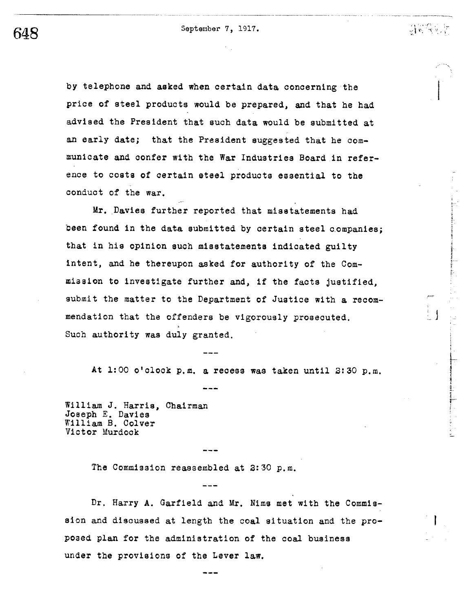by telephone and asked when certain data concerning the price of steel products would be prepared, and that he had advised the President that such data would be submitted at an early date; that the President suggested that he communicate and confer with the War Industries Board in reference to costs of certain steel products essential to the conduct of the war.

Mr. Davies further reported that misstatements had been found in the data submitted by certain steel companies; that in his opinion such misstatements indicated guilty intent, and he thereupon asked for authority of the Commission to investigate further and, if the facts justified. submit the matter to the Department of Justice with a recommendation that the offenders be vigorously prosecuted. Such authority was duly granted.

At 1:00 o'clock p.m. a recess was taken until 2:30 p.m.

William J. Harris, Chairman Joseph E. Davies William B. Colver Victor Murdock

The Commission reassembled at 2:30 p.m.

Dr. Harry A. Garfield and Mr. Nims met with the Commission and discussed at length the coal situation and the proposed plan for the administration of the coal business under the provisions of the Lever law.

648

 $\mathbf{y}$  ) we set  $\mathbf{y}$  .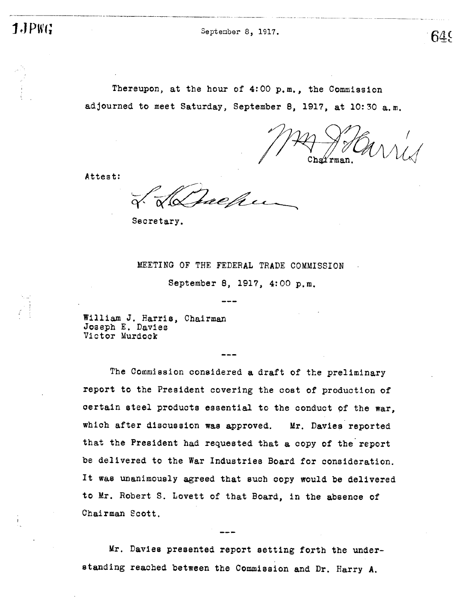$PWC$  September 8, 1917.  $649$ 

Thereupon, at the hour of  $4:00$  p.m., the Commission adjourned to meet Saturday, September 8, 1917, at 10:30 a.m.

Cha'i'rman.

Attest:

ælh

Secretary.

## MEETING OF THE FEDERAL TRADE COMMISSION

September 8, 1917, 4:00 p.m.

William J. Harris, Chairman Joseph E. Davies Victor Murdock

The Commission considered a draft of the preliminary report to the President covering the cost of production of oertain steel products essential to the conduct of the war, which after discussion was approved. Mr. Davies reported that the President had requested that a copy of the report be delivered to the War Industries Board for consideration. It was unanimously agreed that such copy would be delivered to Mr. Robert S. Lovett of that Board, in the absence of Chairman Scott.

Mr. Davies presented report setting forth the understanding reached between the Commission and Dr. Harry A.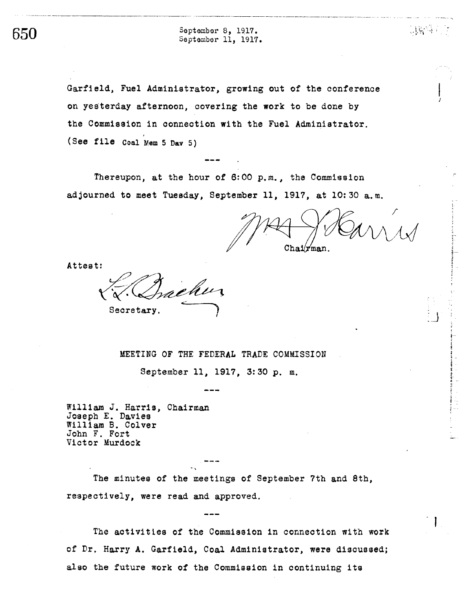$650$  September 8, 1917.<br>September 11, 1917.

Garfield, Fuel Administrator, growing out of the conference on yesterday afternoon, covering the work to be done by the Commission in connection with the Fuel Admini strator. (See file Coal Mem 5 Dav 5)

Thereupon, at the hour of  $6:00$  p.m., the Commission adjourned to meet Tuesday, September 11, 1917, at 10:30 a.m.

 $\mathtt{Chain}$ 

 $16. \;$ 

1 -

. J

Attest:

Secretary.

MEETING OF THE FEDERAL TRADE COMMISSION

September 11, 1917, 3:30 p. m.

William J. Harris, Chairman Joseph E. Davies William B. Colver John F. Fort Victor Murdock

The minutes of the meetings of September 7th and 8th, respecti vely, were read and approved.

The activities of the Commission in connection with work of Dr. Harry A. Garfield, Coal Administrator, were discussed; also the future work of the Commission in continuing its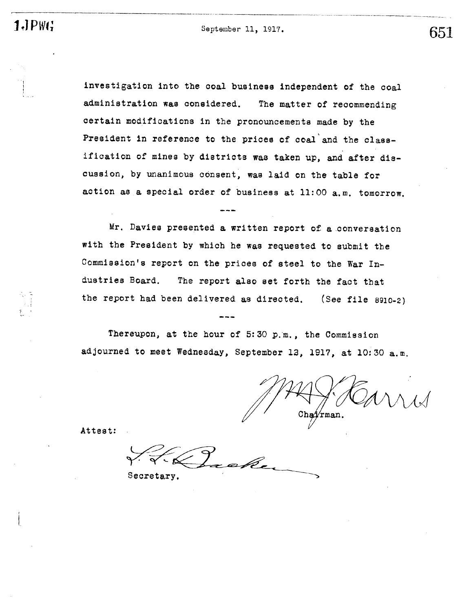1- .

 $PWG$  September 11, 1917. 651

O\_-"

investigation into the coal business independent of the coal administration was considered. The matter of recommending certain modifications in the pronouncements made by the President in reference to the prices of coal and the classification of mines by distriots was taken up, and after discussion, by unanimous consent, was laid on the table for action as a special order of business at  $11:00$  a.m. tomorrow.

Mr. Davies presented a written report of a conversation with the President by which he was requested to submit the Commission's report on the prices of steel to the War Industries Board. The report also set forth the fact that the report had been delivered as directed. (See file 8910-2)

Thereupon, at the hour of 5:30 p.m., the Commission adjourned to meet Wednesday, September 12, 1917, at 10:30 a.m.

J6M

Attest:

Secretary.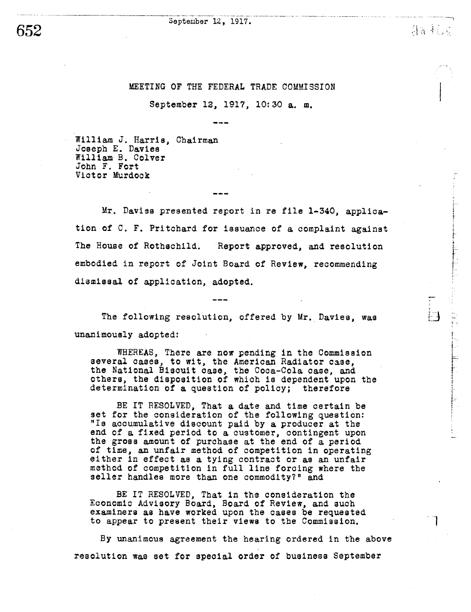#### September 12, 1917.

n --

in.

#### MEETING OF THE FEDERAL TRADE COMMISSION

-.-. \_\_n\_\_.\_\_\_

September 12, 1917, 10:30 a. m.

William J. Harris, Chairman Joseph E. Davies William B. Colver John F. Fort Victor Murdock

Mr. Daviss presented report in re file 1-340, application of C. F. Pritchard for issuance of a complaint against The House of Rothschild. Report approved, and resolution embodied in report of Joint Board of Review, recommending dismissal of application, adopted.

The following resolution, offered by Mr. Davies, was unanimously adopted:

WHEREAS, There are now pending in the Commission several cases, to wit, the American Radiator case, several cases, to wit, the American Radiator case,<br>the National Biscuit case, the Coca-Cola case, and others, the disposition of which is dependent upon the determination of a question of policy; therefore

BE IT RESOLVED, That a date and time certain be set for the consideration of the following question: "Is accumulative discount paid by a producer at the end of a fixed period to a customer, contingent upon the gross amount of purchase at the end of a period of time, an unfair method of competition in operating either in effect as a tying contract or as an unfair method of competition in full line forcing where the seller handles more than one commodity?" and

BE IT RESOLVED, That in the consideration the Economic Advisory Board, Board of Review, and such examiners as have worked upon the cases be requested to appear to present their views to the Commission.

By unanimous agreement the hearing ordered in the above resolution was set for special order of business September

652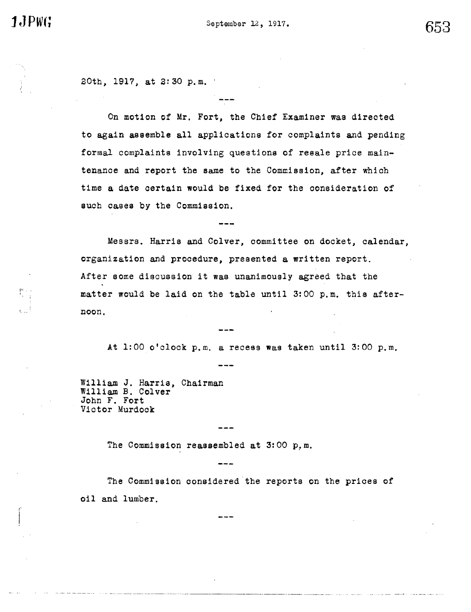20th, 1917, at 2:30 p.m.

On motion of Mr. Fort, the Chief Examiner was directed to again assemble all applications for complaints and pending formal complaints involving questions of resale price maintenance and report the same to the Commission, after which time a date certain would be fixed for the consideration of such cases by the Commission.

Messrs. Harris and Colver, committee on docket, calendar, organization and procedure, presented a written report. After some discussion it was unanimously agreed that the matter would be laid on the table until 3:00 p.m. this afternoon.

At 1:00 o'clock p.m. a recess was taken until 3:00 p.m.

William J. Harris, Chairman William B. Colver John F. Fort Victor Murdock

The Commission reassembled at 3:00 p.m.

The Commission considered the reports on the prices of oil and lumber.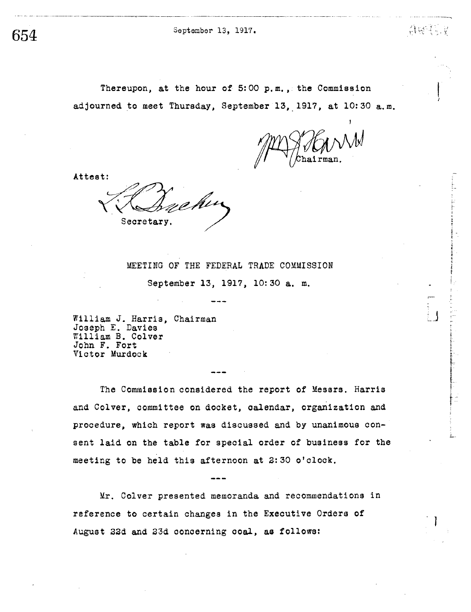September 13, 1917.

654

Thereupon, at the hour of 5:00 p.m., the Commission adjourned to meet Thursday, September 13, 1917, at 10:30 a.m.

会图》,

Attest:

Min Secretary

MEETING OF THE FEDERAL TRADE COMMISSION September 13, 1917, 10:30 a. m.

William J. Harris, Chairman Joseph E. Davies William B. Colver John F. Fort Victor Murdock

The Commission considered the report of Messrs. Harris and Colver, committee on docket, calendar, organization and procedure, which report was discussed and by unanimous consent laid on the table for special order of business for the meeting to be held this afternoon at 2:30 o'clock.

Mr. Colver presented memoranda and recommendations in reference to certain changes in the Executive Orders of August 22d and 23d concerning coal, as follows: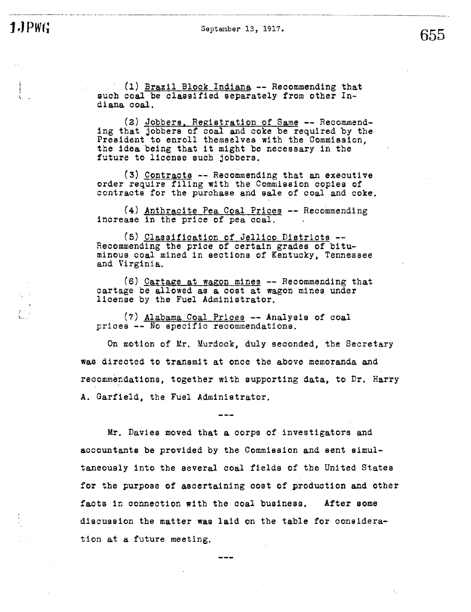1.JPWG

September 13, 1917.

655

(1) Brazil Block Indiana -- Recommending that such coal be classified separately from other Indiana coal.

(2) Jobbers, Registration of Same -- Recommend-<br>ing that jobbers of coal and coke be required by the<br>President to enroll themselves with the Commission, the idea being that it might be necessary in the future to license such jobbers.

(3) Contracts -- Recommending that an executive order require filing with the Commission copies of contracts for the purchase and sale of coal and coke.

(4) Anthracite Pea Coal Prices -- Recommending increase in the price of pea coal.

(5) Classification of Jellico Districts --Recommending the price of certain grades of bituminous coal mined in sections of Kentucky, Tennessee and Virginia.

(6) Cartage at wagon mines -- Recommending that cartage be allowed as a cost at wagon mines under license by the Fuel Administrator.

(7) Alabama Coal Prices -- Analysis of coal prices -- No specific recommendations.

On motion of Mr. Murdock, duly seconded, the Secretary was directed to transmit at once the above memoranda and recommendations, together with supporting data, to Dr. Harry A. Garfield, the Fuel Administrator.

Mr. Davies moved that a corps of investigators and accountants be provided by the Commission and sent simultaneously into the several coal fields of the United States for the purpose of ascertaining cost of production and other facts in connection with the coal business. After some discussion the matter was laid on the table for consideration at a future meeting.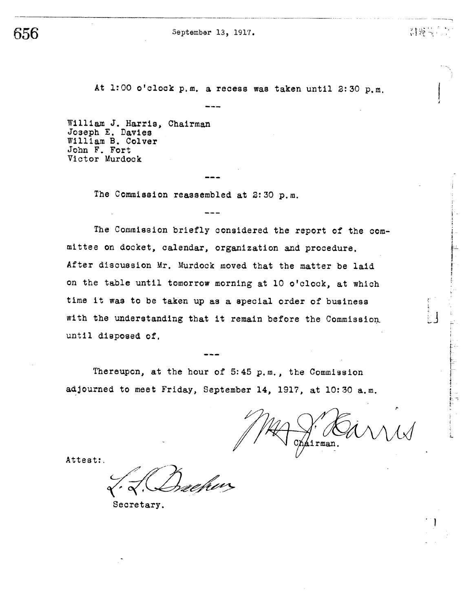September 13, 1917.

656

At 1:00 o'clock p.m. a recess was taken until 2:30 p.m.

William J. Harris, Chairman Joseph E. Davies William B. Colver John F. Fort Victor Murdock

The Commission reassembled at 2:30 p.m.

The Commission briefly considered the report of the committee on docket, calendar, organization and procedure. After discussion Mr. Murdock moved that the matter be laid on the table until tomorrow morning at 10 o'clock, at which time it was to be taken up as a special order of business with the understanding that it remain before the Commission until disposed of.

Thereupon, at the hour of 5:45 p.m., the Commission adjourned to meet Friday, September 14, 1917, at 10:30 a.m.

áirman.

21 没一点

Attest:

Secretary.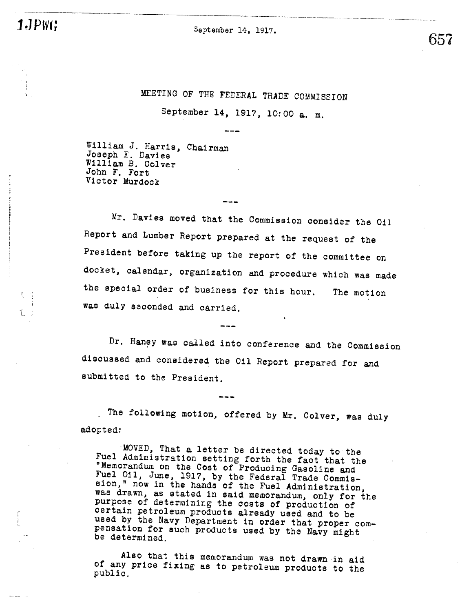1JPWG

September 14, 1917.

657

MEETING OF THE FEDERAL TRADE COMMISSION

September 14, 1917, 10:00 a. m.

William J. Harris, Chairman Joseph E. Davies<br>William B. Colver John F. Fort Victor Murdock

Mr. Davies moved that the Commission consider the Oil Report and Lumber Report prepared at the request of the President before taking up the report of the committee on docket, calendar, organization and procedure which was made the special order of business for this hour. The motion was duly seconded and carried.

Dr. Haney was called into conference and the Commission discussed and considered the Oil Report prepared for and submitted to the President.

. The following motion, offered by Mr. Colver, was duly adopted:

MOVED, That a letter be directed today to the Fuel Administration setting forth the fact that the "Memorandum on the Cost of Producing Gasoline and<br>Fuel Oil, June, 1917, by the Federal Trade Commis-<br>sion," now in the hands of the Fuel Administration, was drawn, as stated in said memorandum, only for the purpose of determining the costs of production of certain petroleum products already used and to be used by the Navy Department in order that proper compensation for such products used by the Navy might be determined.

Also that this memorandum was not drawn in aid of any price fixing as to petroleum products to the public.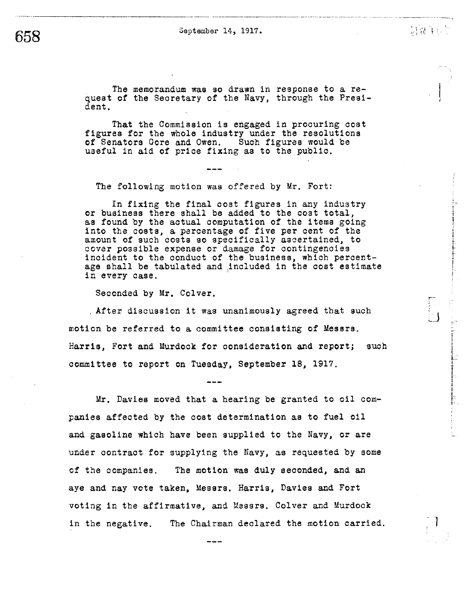The memorandum was so drawn in response to a request of the Secretary of the Navy, through the President.

That the Commission is engaged in procuring cost figures for the whole industry under the resolutions of Senators Gore and Owen. Such figures would be useful in aid of price fixing as to the public.

The following motion was offered by Mr. Fort:

In fixing the final cost figures in any industry or business there shall be added to the cost total, as found by the actual computation of the items going into the costs, a percentage of five per cent of the amount of such costs so specifically ascertained, to cover possible expense or damage for contingencies<br>incident to the conduct of the business, which percentage shall be tabulated and included in the cost estimate in every case.

Seconded by Mr. Colver.

. After discussion it was unanimously agreed that such motion be referred to a committee consisting of Messrs. Harris, Fort and Murdock for consideration and report; such committee to report on Tuesday, September 18, 1917.

Mr. Davies moved that a hearing be granted to oil companies affected by the cost determination as to fuel oil and gasoline which have been supplied to the Navy, or are under contract for supplying the Navy, as requested by some The motion was duly seconded, and an of the companies. aye and nay vote taken, Messrs. Harris, Davies and Fort voting in the affirmative, and Messrs. Colver and Murdock in the negative. The Chairman declared the motion carried. 制造的。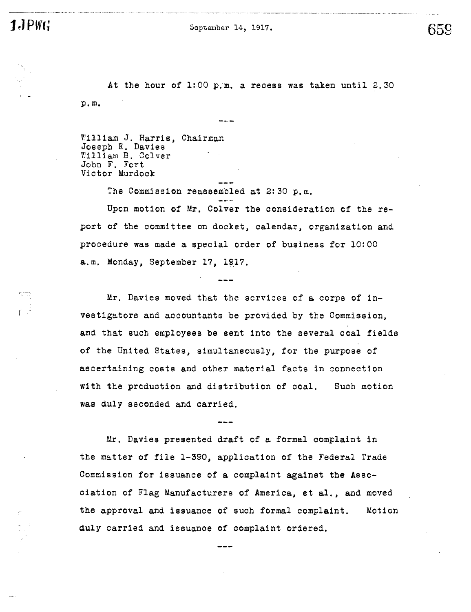$1$ **J** $PWG$ 

September 14, 1917.

659

At the hour of 1:00 p.m. a recess was taken until 2.30 p.m.

William J. Harris, Chairman Joseph E. Davies<br>William B. Colver John F. Fort Victor Murdock

The Commission reassembled at 2:30 p.m.

Upon motion of Mr. Colver the consideration of the report of the committee on docket, calendar, organization and procedure was made a special order of business for 10:00 a.m. Monday, September 17, 1917.

Mr. Davies moved that the services of a corps of investigators and accountants be provided by the Commission, and that such employees be sent into the several coal fields of the United States, simultaneously, for the purpose of ascertaining costs and other material facts in connection with the production and distribution of coal. Such motion was duly seconded and carried.

Mr. Davies presented draft of a formal complaint in the matter of file 1-390, application of the Federal Trade Commission for issuance of a complaint against the Association of Flag Manufacturers of America, et al., and moved the approval and issuance of such formal complaint. Moticn duly carried and issuance of complaint ordered.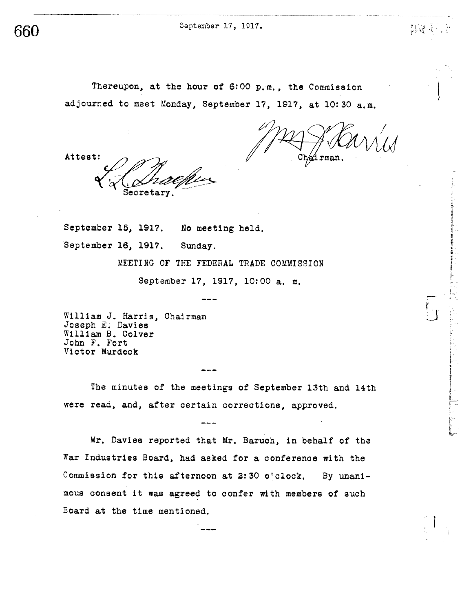September 17, 1917.

660

Thereupon, at the hour of 6:00 p.m., the Commission adjourned to meet Monday, September 17, 1917, at 10:30 a.m.

Attest:

Chairman

 $\frac{1}{2}$  in  $\frac{1}{2}$ 

 ${\tt Secretary}$ 

September 15, 1917. No meeting held. September 16, 1917. Sunday. MEETING OF THE FEDERAL TRADE COMMISSION September 17, 1917, 10:00 a. m.

William J. Harris, Chairman Joseph E. Davies William B. Colver John F. Fort Victor Murdock

The minutes of the meetings of September 13th and 14th were read, and, after certain corrections, approved.

Mr. Davies reported that Mr. Baruch, in behalf of the War Industries Board, had asked for a conference with the Commission for this afternoon at 2:30 o'clock. By unanimous consent it was agreed to confer with members of such Board at the time mentioned.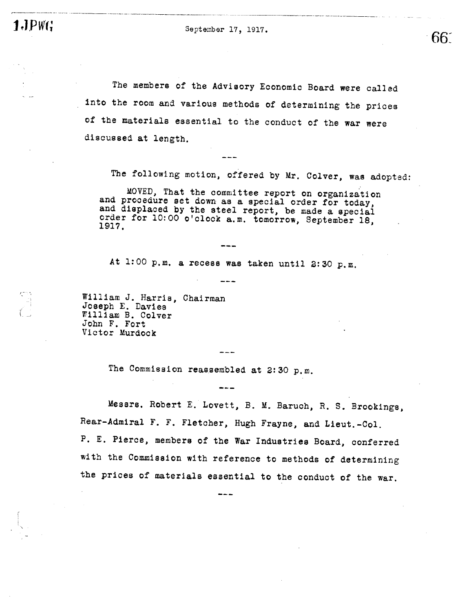1.JPWG

September 17, 1917.

The members of the Advisory Economic Board were called into the room and various methods of determining the prices of the materials essential to the conduct of the war were discussed at length.

The following motion, offered by Mr. Colver, was adopted:

 $66<sup>°</sup>$ 

MOVED, That the committee report on organization and procedure set down as a special order for today, and displaced by the steel report, be made a special order for 10:00 o'clock a.m. tomorrow, September 18, 1917.

At 1:00 p.m. a recess was taken until 2:30 p.m.

William J. Harris, Chairman<br>Joseph E. Davies William B. Colver John F. Fort Victor Murdock

The Commission reassembled at 2:30 p.m.

Messrs. Robert E. Lovett, B. M. Baruch, R. S. Brookings, Rear-Admiral F. F. Fletcher, Hugh Frayne, and Lieut.-Col. P. E. Pierce, members of the War Industries Board, conferred with the Commission with reference to methods of determining the prices of materials essential to the conduct of the war.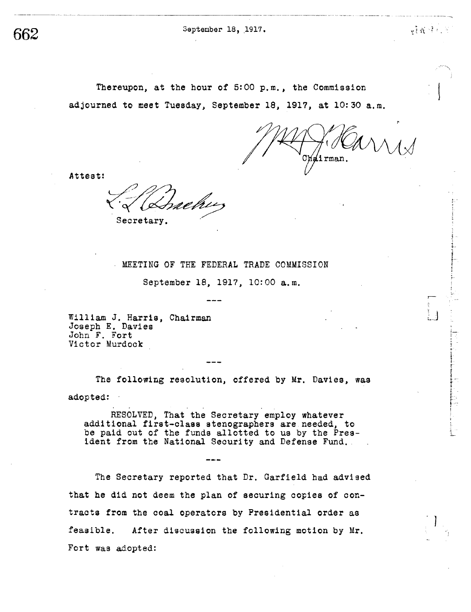September 18, 1917.

662

Thereupon, at the hour of 5:00 p.m., the Commission adjourned to meet Tuesday, September 18, 1917, at 10:30 a.m.

lirman.

**WARROR** 

Attest:

Secretary.

#### MEETING OF THE FEDERAL TRADE COMMISSION

September 18, 1917, 10:00 a.m.

William J. Harris, Chairman Joseph E. Davies<br>John F. Fort Victor Murdock

The following resolution, offered by Mr. Davies, was adopted:

RESOLVED, That the Secretary employ whatever additional first-class stenographers are needed, to be paid out of the funds allotted to us by the President from the National Security and Defense Fund.

The Secretary reported that Dr. Garfield had advised that he did not deem the plan of securing copies of contracts from the coal operators by Presidential order as feasible. After discussion the following motion by Mr. Fort was adopted: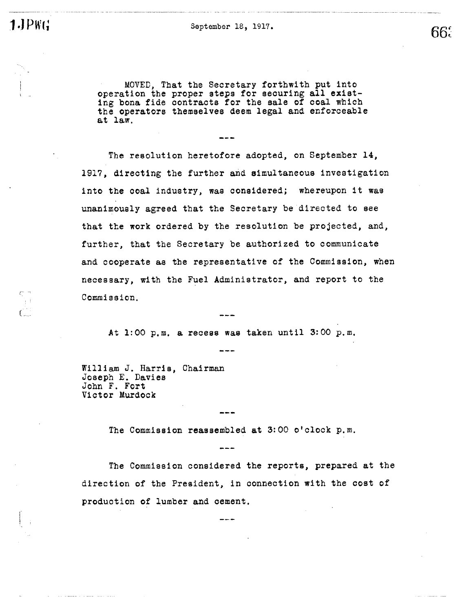$\sum_{n=1}^{\infty}$ 

September 18, 1917.

66.

MOVED, That the Secretary forthwith put into operation the proper steps for securing all exist-<br>ing bona fide contracts for the sale of coal which the operators themselves deem legal and enforceable at law.

 $- - -$ 

The resolution heretofore adopted, on September 14, 1917, directing the further and simultaneous investigation into the coal industry, was considered; whereupon it was unanimously agreed that the Secretary be directed to see that the work ordered by the resolution be projected, and, further, that the Secretary be authorized to communicate and cooperate as the representative of the Commission, when necessary, with the Fuel Administrator, and report to the Commission.

At 1:00 p.m. a recess was taken until 3:00 p.m.

William J. Harris, Chairman Joseph E. Davies John F. Fort Victor Murdock

The Commission reassembled at 3:00 o'clock p.m.

The Commission considered the reports, prepared at the direction of the President, in connection with the cost of production of lumber and cement.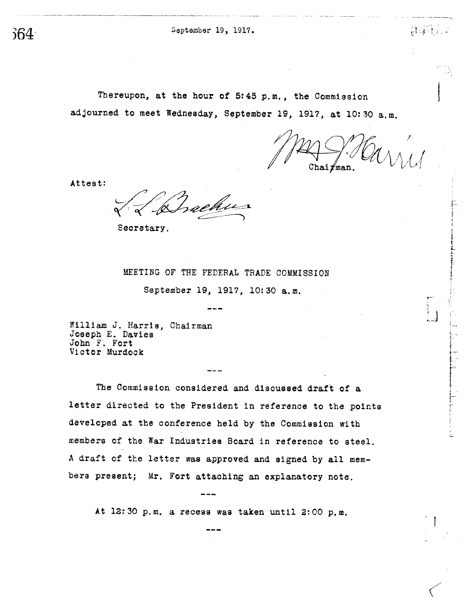September 19, 1917.

Thereupon, at the hour of 5:45 p.m., the Commission adjourned to meet Wednesday, September 19, 1917, at 10:30 a.m.

 $\mathtt{Chain}$ 

 $\mathcal{H} \rightarrow \mathcal{H}$ 

Attest:

n e thi

Secretary.

MEETING OF THE FEDERAL TRADE COMMISSION

September 19, 1917, 10:30 a.m.

William J. Harris, Chairman Joseph E. Davies John F. Fort Victor Murdock

The Commission considered and discussed draft of a letter directed to the President in reference to the points developed at the conference held by the Commission with members of the War Industries Board in reference to steel. A draft of the letter was approved and signed by all members present; Mr. Fort attaching an explanatory note.

At 12:30 p.m. a recess was taken until 2:00 p.m.

 $364<sup>1</sup>$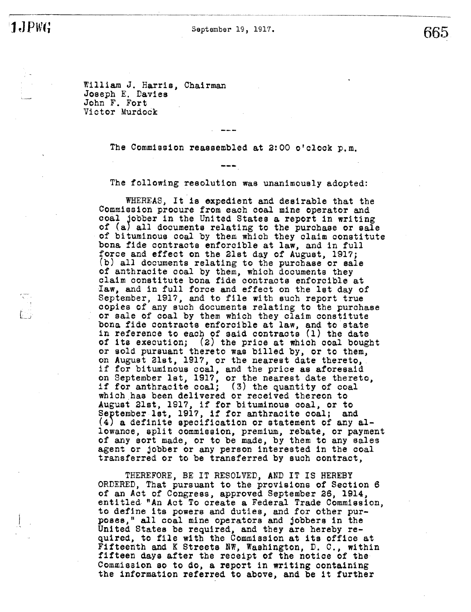**JJPWG** 

September 19, 1917.

665

William J. Harris, Chairman<br>Joseph E. Davies John F. Fort Victor Murdock

The Commission reassembled at 2:00 o'clock p.m.

The following resolution was unanimously adopted:

WHEREAS, It is expedient and desirable that the Commission procure from each coal mine operator and coal jobber in the United States a report in writing of (a) all documents relating to the purchase or sale of bituminous coal by them which they claim constitute bona fide contracts enforcible at law, and in full force and effect on the 21st day of August, 1917; (b) all documents relating to the purchase or sale of anthracite coal by them, which documents they claim constitute bona fide contracts enforcible at Iaw, and in full force and effect on the let day of September, 1917, and to file with such report true<br>copies of any such documents relating to the purchase or sale of coal by them which they claim constitute bona fide contracts enforcible at law, and to state in reference to each of said contracts (1) the date of its execution; (2) the price at which coal bought<br>or sold pursuant thereto was billed by, or to them, on August 21st, 1917, or the nearest date thereto, if for bituminous coal, and the price as aforesaid on September 1st, 1917, or the nearest date thereto, if for anthracite coal; (3) the quantity of coal which has been delivered or received thereon to August 21st, 1917, if for bituminous coal, or to September 1st, 1917, if for anthracite coal; and (4) a definite specification or statement of any allowance, split commission, premium, rebate, or payment of any sort made, or to be made, by them to any sales agent or jobber or any person interested in the coal transferred or to be transferred by such contract,

THEREFORE, BE IT RESOLVED, AND IT IS HEREBY ORDERED, That pursuant to the provisions of Section 6 of an Act of Congress, approved September 26, 1914, entitled "An Act To create a Federal Trade Commission, to define its powers and duties, and for other purposes," all coal mine operators and jobbers in the United States be required, and they are hereby required, to file with the Commission at its office at Fifteenth and K Streets NW, Washington, D. C., within fifteen days after the receipt of the notice of the Commission so to do, a report in writing containing the information referred to above, and be it further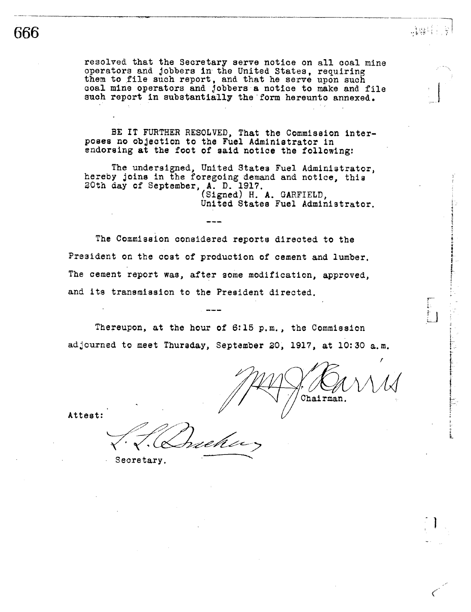resolved that the Secretary serve notice on all coal mine operators and jobbers in the United States, requiring<br>them to file such report, and that he serve upon such coal mine operators and jobbers a notice to make and file such report in substantially the form hereunto annexed.

BE IT FURTHER RESOLVED, That the Commission interposes no objection to the Fuel Administrator in endorsing at the foot of said notice the following:

The undersigned, United States Fuel Administrator, hereby joins in the foregoing demand and notice, this 20th day of September, A. D. 1917.<br>(Signed) H. A. GARFIELD, United States Fuel Administrator.

The Commission considered reports directed to the President on the cost of production of cement and lumber. The cement report was, after some modification, approved, and its transmission to the President directed.

Thereupon, at the hour of 6:15 p.m., the Commission adjourned to meet Thursday, September 20, 1917, at 10:30 a.m.

Chairman.

나말라

Attest:

Secretary.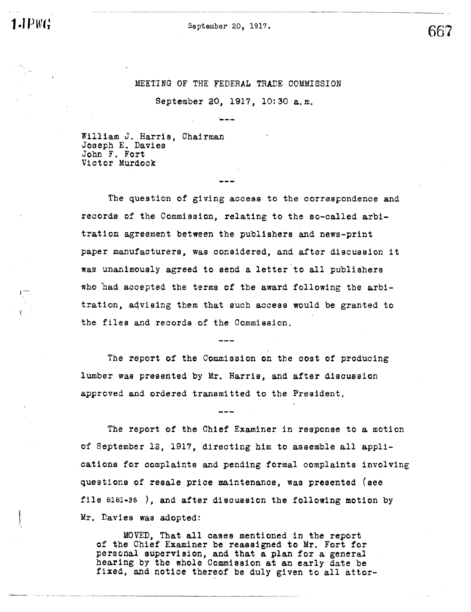JPWG

September 20, 1917.

667

## MEETING OF THE FEDERAL TRADE COMMISSION

September 20, 1917, 10:30 a.m.

William J. Harris, Chairman Joseph E. Davies John F. Fort Victor Murdock

The question of giving access to the correspondence and records of the Commission, relating to the so-called arbitration agreement between the publishers and news-print paper manufacturers, was considered, and after discussion it was unanimously agreed to send a letter to all publishers who had accepted the terms of the award following the arbitration, advising them that such access would be granted to the files and records of the Commission.

The report of the Commission on the cost of producing lumber was presented by Mr. Harris, and after discussion approved and ordered transmitted to the President.

The report of the Chief Examiner in response to a motion of September 12, 1917, directing him to assemble all applications for complaints and pending formal complaints involving questions of resale price maintenance, was presented (see file 8181-36), and after discussion the following motion by Mr. Davies was adopted:

MOVED, That all cases mentioned in the report of the Chief Examiner be reassigned to Mr. Fort for personal supervision, and that a plan for a general hearing by the whole Commission at an early date be fixed, and notice thereof be duly given to all attor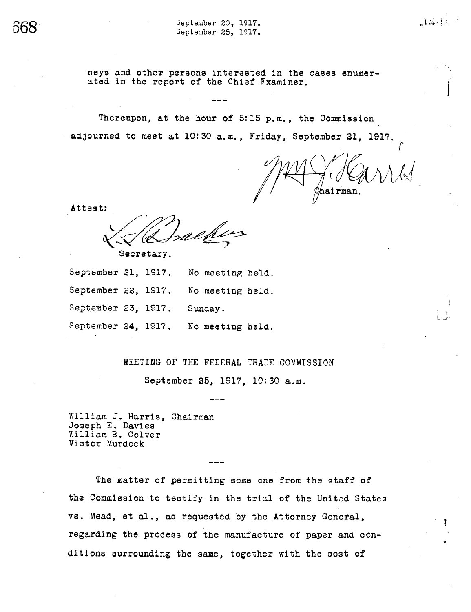September 20, 1917. September 25, 1917.

neys and other persons interested in the cases enumerated in the report of the Chief Examiner.

Thereupon, at the hour of 5:15 p.m., the Commission adjourned to meet at 10:30 a.m., Friday, September 21, 1917.

hairman,

 $1.3.11$ 

Attest:

Secretary.

| September 21, 1917. |  | No meeting held. |
|---------------------|--|------------------|
| September 22, 1917. |  | No meeting held. |
| September 23, 1917. |  | Sunday.          |
| September 24, 1917. |  | No meeting held. |

MEETING OF THE FEDERAL TRADE COMMISSION

September 25, 1917, 10:30 a.m.

William J. Harris, Chairman Joseph E. Davies William B. Colver Victor Murdock

The matter of permitting some one from the staff of the Commission to testify in the trial of the United States vs. Mead, et al., as requested by the Attorney General, regarding the process of the manufacture of paper and conditions surrounding the same, together with the cost of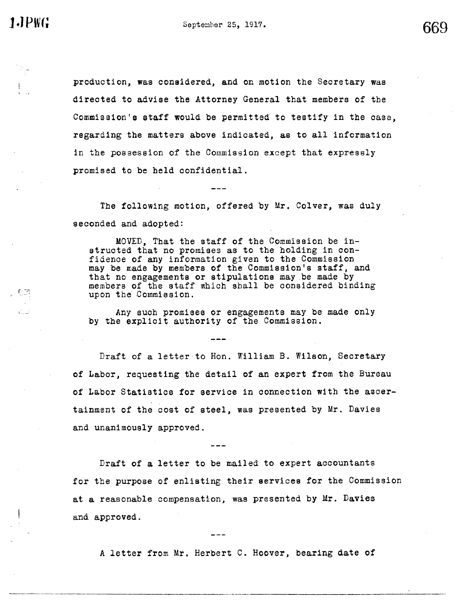**1.JPWG** 

669

production, was considered, and on motion the Secretary was directed to advise the Attorney General that members of the Commission's staff would be permitted to testify in the case, regarding the matters above indicated, as to all information in the possession of the Commission except that expressly promised to be held confidential.

The following motion, offered by Mr. Colver, was duly seconded and adopted:

MOVED, That the staff of the Commission be instructed that no promises as to the holding in confidence of any information given to the Commission may be made by members of the Commission's staff, and that no engagements or stipulations may be made by members of the staff which shall be considered binding upon the Commission.

Any such promises or engagements may be made only by the explicit authority of the Commission.

Draft of a letter to Hon. William B. Wilson, Secretary of Labor, requesting the detail of an expert from the Bureau of Labor Statistics for service in connection with the ascertainment of the cost of steel, was presented by Mr. Davies and unanimously approved.

Draft of a letter to be mailed to expert accountants for the purpose of enlisting their services for the Commission at a reasonable compensation, was presented by Mr. Davies and approved.

A letter from Mr. Herbert C. Hoover, bearing date of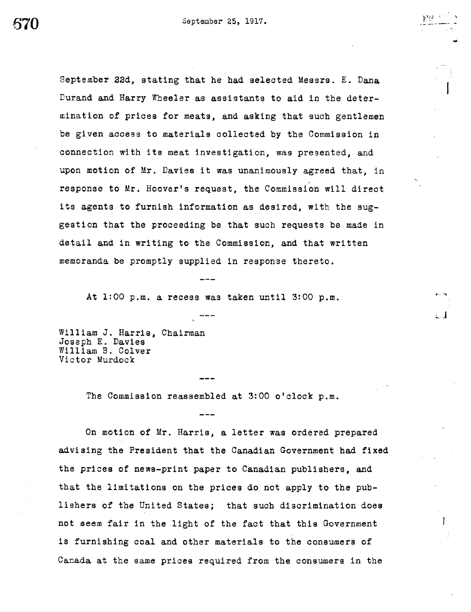September 22d, stating that he had selected Messrs. E. Dana Durand and Harry Wheeler as assistants to aid in the determination of prices for meats, and asking that such gentlemen be given access to materials collected by the Commission in connection with its meat investigation, was presented, and upon motion of Mr. Davies it was unanimously agreed that, in response to Mr. Hoover's request, the Commission will direct its agents to furnish information as desired, with the suggestion that the proceeding be that such requests be made in detail and in writing to the Commission, and that written memoranda be promptly supplied in response thereto.

At  $1:00$  p.m. a recess was taken until  $3:00$  p.m.

William J. Harris, Chairman Joseph E. Davies William B. Colver Victor Murdock

The Commission reassembled at 3:00 o'clock p.m.

On motion of Mr. Harris, a letter was ordered prepared advising the President that the Canadian Government had fixed the prices of news-print paper to Canadian publishers, and that the limitations on the prices do not apply to the publishers of the United States; that such discrimination does not seem fair in the light of the fact that this Government is furnishing coal and other materials to the consumers of Canada at the same prices required from the consumers in the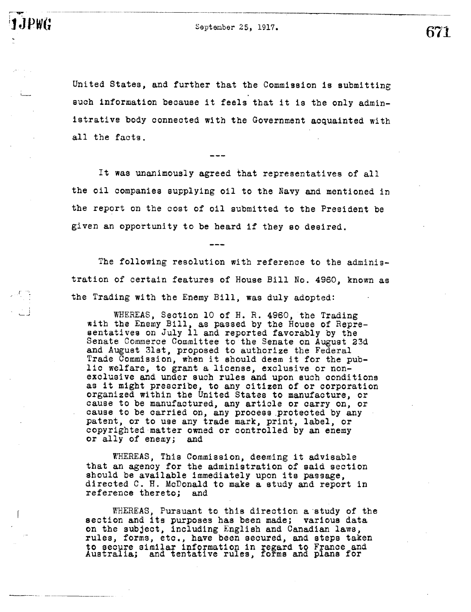September 25, 1917.

JPWG

United States, and further that the Commission is submitting such information because it feels that it is the only administrative body connected with the Government acquainted with all the facts.

It was unanimously agreed that representatives of all the oil companies supplying oil to the Navy and mentioned in the report on the cost of oil submitted to the President be given an opportunity to be heard if they so desired.

The following resolution with reference to the administration of certain features of House Bill No. 4960, known as the Trading with the Enemy Bill, was duly adopted:

WHEREAS, Section 10 of H. R. 4960, the Trading with the Enemy Bill, as passed by the House of Repre-sentatives on July 11 and reported favorably by the Senate Commerce Committee to the Senate on August 23d and August 31st, proposed to authorize the Federal Trade Commission, when it should deem it for the public welfare, to grant a license, exclusive or nonexclusive and under such rules and upon such conditions as it might prescribe, to any citizen of or corporation organized within the United States to manufacture, or cause to be manufactured, any article or carry on, or cause to be carried on, any process protected by any patent, or to use any trade mark, print, label, or copyrighted matter owned or controlled by an enemy or ally of enemy; and

WHEREAS, This Commission, deeming it advisable that an agency for the administration of said section should be available immediately upon its passage, directed C. H. McDonald to make a study and report in reference thereto; and

WHEREAS, Pursuant to this direction a study of the section and its purposes has been made; various data on the subject, including English and Canadian laws, rules, forms, etc., have been secured, and steps taken to secure similar information in regard to France and Australia; and tentative rules, forms and plans for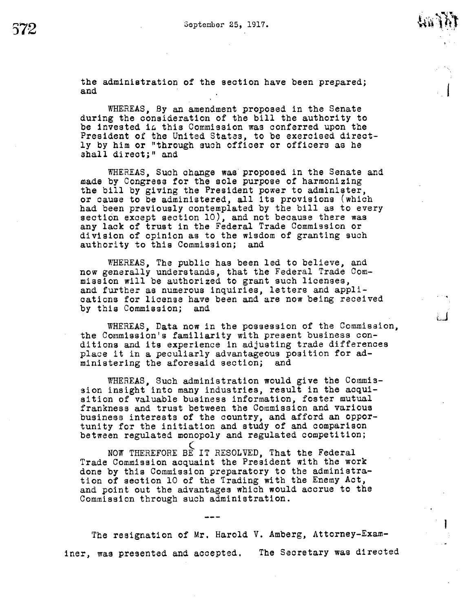the administration of the section have been prepared; and

WHEREAS, By an amendment proposed in the Senate during the consideration of the bill the authority to be invested in this Commission was conferred upon the President of the United States, to be exercised directly by him or "through such officer or officers as he shall direct;" and

WHEREAS, Such change was proposed in the Senate and made by Congress for the sole purpose of harmonizing the bill by giving the President power to administer, or cause to be administered, all its provisions (which had been previously contemplated by the bill as to every section except section 10), and not because there was any lack of trust in the Federal Trade Commission or division of opinion as to the wisdom of granting such authority to this Commission; and

WHEREAS, The public has been led to believe, and now generally understands, that the Federal Trade Com-mission will be authorized to grant such licenses, and further as numerous inquiries, letters and applications for license have been and are now being received by this Commission; and

WHEREAS, Data now in the possession of the Commission, the Commission's familiarity with present business conditions and its experience in adjusting trade differences place it in a peculiarly advantageous position for administering the aforesaid section; and

WHEREAS, Such administration would give the Commission insight into many industries, result in the acquisition of valuable business information, foster mutual frankness and trust between the Commission and various business interests of the country, and afford an opportunity for the initiation and study of and comparison between regulated monopoly and regulated competition;

NOW THEREFORE BE IT RESOLVED, That the Federal Trade Commission acquaint the President with the work done by this Commission preparatory to the administration of section 10 of the Trading with the Enemy Act, and point out the advantages which would accrue to the Commission through such administration.

The resignation of Mr. Harold V. Amberg, Attorney-Examiner, was presented and accepted. The Secretary was directed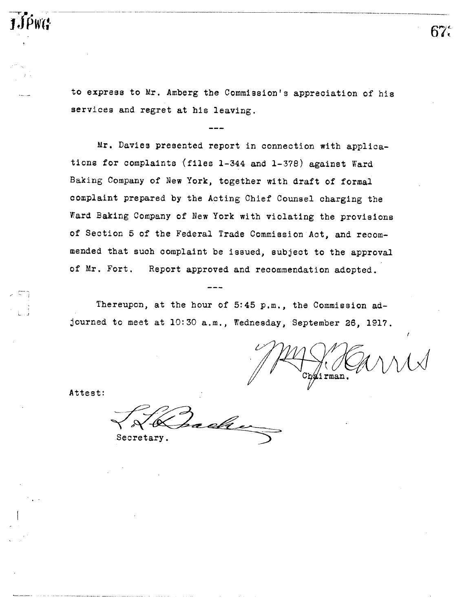to express to Mr. Amberg the Commission's appreciation of his services and regret at his leaving.

Mr. Davies presented report in connection with applications for complaints (files 1-344 and 1-378) against Ward Baking Company of New York, together with draft of formal complaint prepared by the Acting Chief Counsel charging the Ward Baking Company of New York with violating the provisions of Section 5 of the Federal Trade Commission Act, and recommended that such complaint be issued, subject to the approval of Mr. Fort. Report approved and recommendation adopted.

Thereupon, at the hour of 5:45 p.m., the Commission adjourned to meet at 10:30 a.m., Wednesday, September 26, 1917.

 $\texttt{Ch\'alirman}.$ 

67.

Attest:

1JPWG

æeke Secretary.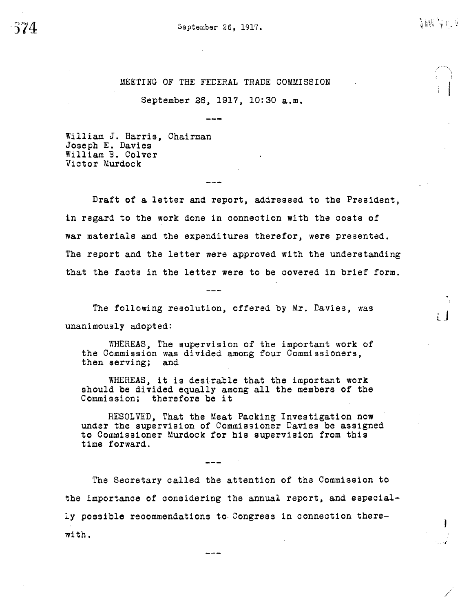MEETING OF THE FEDERAL TRADE COMMISSION

September 26, 1917, 10:30 a.m.

William J. Harris, Chairman Joseph E. Davies William B. Colver Victor Murdock

Draft of a letter and report, addressed to the President, in regard to the work done in connection with the costs of war materials and the expenditures therefor, were presented. The report and the letter were approved with the understanding that the facts in the letter were to be covered in brief form.

The following resolution, offered by Mr. Davies, was unanimously adopted:

WHEREAS, The supervision of the important work of the Commission was divided among four Commissioners, then serving; and

WHEREAS, it is desirable that the important work should be divided equally among all the members of the Commission; therefore be it

RESOLVED, That the Meat Packing Investigation now under the supervision of Commissioner Davies be assigned to Commissioner Murdock for his supervision from this time forward.

The Secretary called the attention of the Commission to the importance of considering the annual report, and especially possible recommendations to Congress in connection therewith.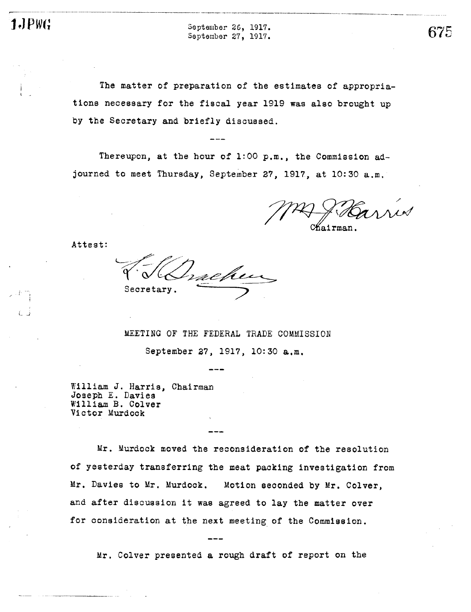September 26, 1917. September 27, 1917.

The matter of preparation of the estimates of appropriations necessary for the fiscal year 1919 was also brought up by the Secretary and briefly discussed.

Thereupon, at the hour of 1:00 p.m., the Commission adjourned to meet Thursday, September 27, 1917, at 10:30 a.m.

hairman

Attest:

Secretary.

MEETING OF THE FEDERAL TRADE COMMISSION

September 27, 1917, 10:30 a.m.

William J. Harris, Chairman Joseph E. Davies William B. Colver Victor Murdock

Mr. Murdock moved the reconsideration of the resolution of yesterday transferring the meat packing investigation from Mr. Davies to Mr. Murdock. Motion seconded by Mr. Colver, and after discussion it was agreed to lay the matter over for consideration at the next meeting of the Commission.

Mr. Colver presented a rough draft of report on the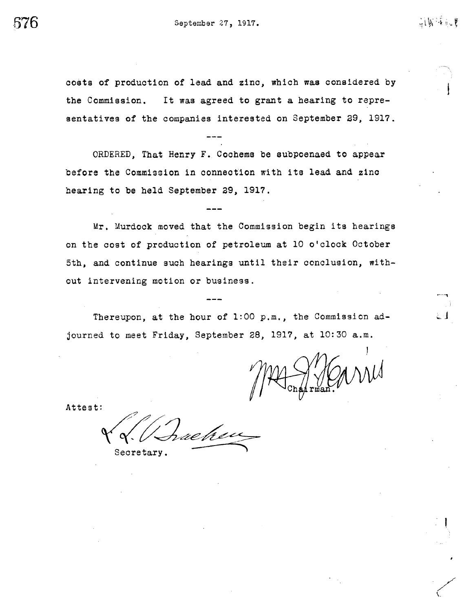costs of production of lead and zinc, which was considered by It was agreed to grant a hearing to reprethe Commission. sentatives of the companies interested on September 29, 1917.

ORDERED, That Henry F. Cochems be subpoenaed to appear before the Commission in connection with its lead and zinc hearing to be held September 29, 1917.

Mr. Murdock moved that the Commission begin its hearings on the cost of production of petroleum at 10 o'clock October 5th, and continue such hearings until their conclusion, without intervening motion or business.

Thereupon, at the hour of 1:00 p.m., the Commission adjourned to meet Friday, September 28, 1917, at 10:30 a.m.

前属褐晶囊

Attest:

ue h ex

Secretary.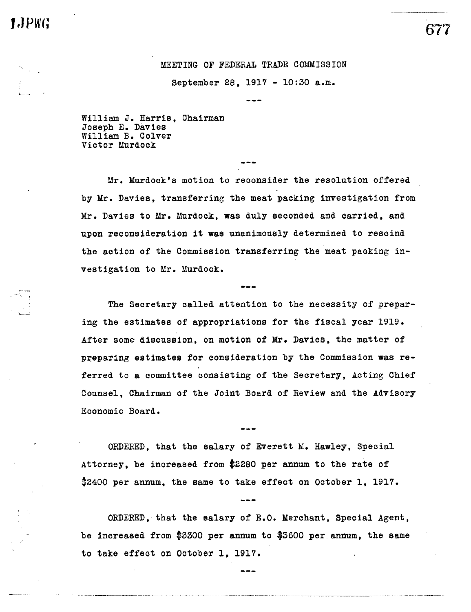# 1.JPWG

## MEETING OF FEDERAL TRADE COMMISSION

September 28, 1917 - 10:30 a.m.

William J. Harris, Chairman Joseph E. Davies William B. Colver Victor Murdock

Mr. Murdock's motion to reconsider the resolution offered by Mr. Davies, transferring the meat packing investigation from Mr. Davies to Mr. Murdock, was duly seconded and carried, and upon reconsideration it was unanimously determined to rescind the action of the Commission transferring the meat packing investigation to Mr. Murdock.

The Secretary called attention to the necessity of preparing the estimates of appropriations for the fiscal year 1919. After some discussion, on motion of Mr. Davies, the matter of preparing estimates for consideration by the Commission was referred to a committee consisting of the Secretary, Acting Chief Counsel. Chairman of the Joint Board of Review and the Advisory Economic Board.

ORDERED, that the salary of Everett M. Hawley, Special Attorney, be increased from \$2280 per annum to the rate of \$2400 per annum, the same to take effect on October 1, 1917.

ORDERED, that the salary of E.O. Merchant, Special Agent, be increased from \$3300 per annum to \$3600 per annum, the same to take effect on October 1, 1917.